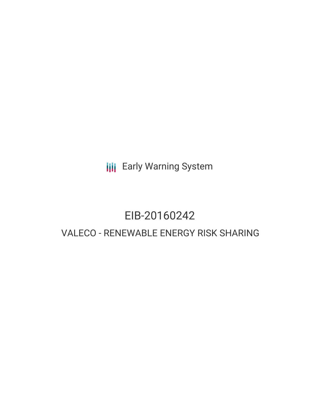**III** Early Warning System

# EIB-20160242 VALECO - RENEWABLE ENERGY RISK SHARING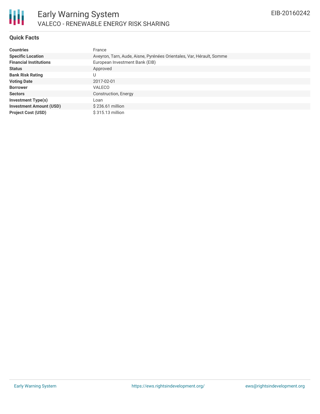

# **Quick Facts**

| <b>Countries</b>               | France                                                               |
|--------------------------------|----------------------------------------------------------------------|
| <b>Specific Location</b>       | Aveyron, Tarn, Aude, Aisne, Pyrénées Orientales, Var, Hérault, Somme |
| <b>Financial Institutions</b>  | European Investment Bank (EIB)                                       |
| <b>Status</b>                  | Approved                                                             |
| <b>Bank Risk Rating</b>        |                                                                      |
| <b>Voting Date</b>             | 2017-02-01                                                           |
| <b>Borrower</b>                | <b>VALECO</b>                                                        |
| <b>Sectors</b>                 | Construction, Energy                                                 |
| <b>Investment Type(s)</b>      | Loan                                                                 |
| <b>Investment Amount (USD)</b> | $$236.61$ million                                                    |
| <b>Project Cost (USD)</b>      | \$315.13 million                                                     |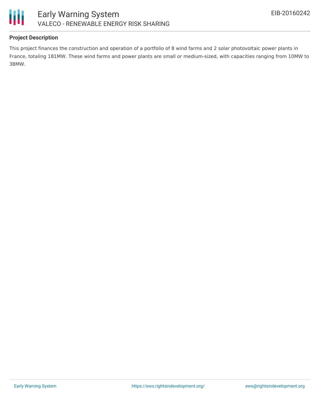



# **Project Description**

This project finances the construction and operation of a portfolio of 8 wind farms and 2 solar photovoltaic power plants in France, totaling 181MW. These wind farms and power plants are small or medium-sized, with capacities ranging from 10MW to 38MW.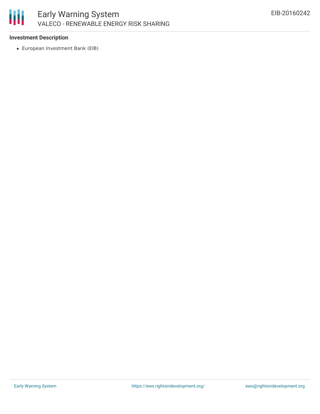

# **Investment Description**

European Investment Bank (EIB)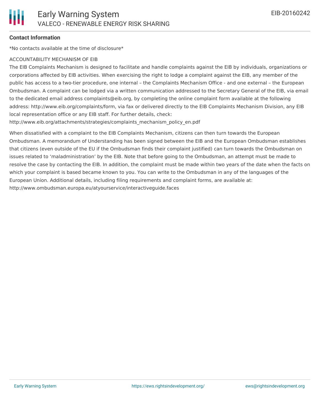#### **Contact Information**

\*No contacts available at the time of disclosure\*

#### ACCOUNTABILITY MECHANISM OF EIB

The EIB Complaints Mechanism is designed to facilitate and handle complaints against the EIB by individuals, organizations or corporations affected by EIB activities. When exercising the right to lodge a complaint against the EIB, any member of the public has access to a two-tier procedure, one internal – the Complaints Mechanism Office - and one external – the European Ombudsman. A complaint can be lodged via a written communication addressed to the Secretary General of the EIB, via email to the dedicated email address complaints@eib.org, by completing the online complaint form available at the following address: http://www.eib.org/complaints/form, via fax or delivered directly to the EIB Complaints Mechanism Division, any EIB local representation office or any EIB staff. For further details, check:

http://www.eib.org/attachments/strategies/complaints\_mechanism\_policy\_en.pdf

When dissatisfied with a complaint to the EIB Complaints Mechanism, citizens can then turn towards the European Ombudsman. A memorandum of Understanding has been signed between the EIB and the European Ombudsman establishes that citizens (even outside of the EU if the Ombudsman finds their complaint justified) can turn towards the Ombudsman on issues related to 'maladministration' by the EIB. Note that before going to the Ombudsman, an attempt must be made to resolve the case by contacting the EIB. In addition, the complaint must be made within two years of the date when the facts on which your complaint is based became known to you. You can write to the Ombudsman in any of the languages of the European Union. Additional details, including filing requirements and complaint forms, are available at: http://www.ombudsman.europa.eu/atyourservice/interactiveguide.faces